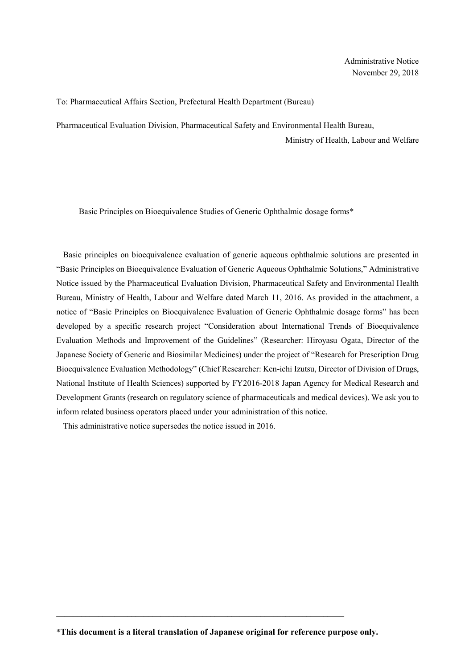## To: Pharmaceutical Affairs Section, Prefectural Health Department (Bureau)

Pharmaceutical Evaluation Division, Pharmaceutical Safety and Environmental Health Bureau,

Ministry of Health, Labour and Welfare

Basic Principles on Bioequivalence Studies of Generic Ophthalmic dosage forms\*

Basic principles on bioequivalence evaluation of generic aqueous ophthalmic solutions are presented in "Basic Principles on Bioequivalence Evaluation of Generic Aqueous Ophthalmic Solutions," Administrative Notice issued by the Pharmaceutical Evaluation Division, Pharmaceutical Safety and Environmental Health Bureau, Ministry of Health, Labour and Welfare dated March 11, 2016. As provided in the attachment, a notice of "Basic Principles on Bioequivalence Evaluation of Generic Ophthalmic dosage forms" has been developed by a specific research project "Consideration about International Trends of Bioequivalence Evaluation Methods and Improvement of the Guidelines" (Researcher: Hiroyasu Ogata, Director of the Japanese Society of Generic and Biosimilar Medicines) under the project of "Research for Prescription Drug Bioequivalence Evaluation Methodology" (Chief Researcher: Ken-ichi Izutsu, Director of Division of Drugs, National Institute of Health Sciences) supported by FY2016-2018 Japan Agency for Medical Research and Development Grants (research on regulatory science of pharmaceuticals and medical devices). We ask you to inform related business operators placed under your administration of this notice.

This administrative notice supersedes the notice issued in 2016.

\*This document is a literal translation of Japanese original for reference purpose only.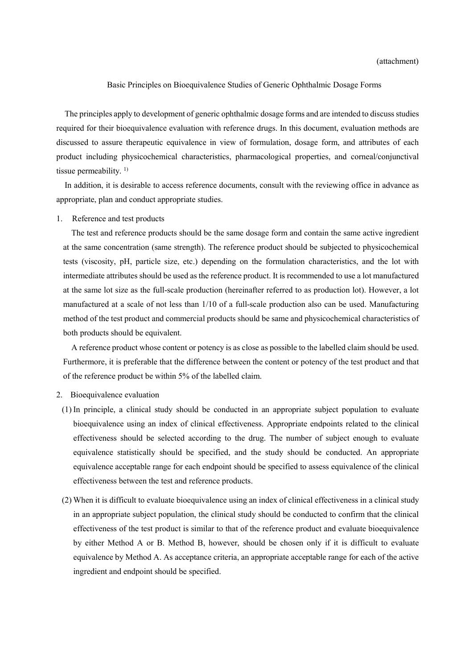## Basic Principles on Bioequivalence Studies of Generic Ophthalmic Dosage Forms

The principles apply to development of generic ophthalmic dosage forms and are intended to discuss studies required for their bioequivalence evaluation with reference drugs. In this document, evaluation methods are discussed to assure therapeutic equivalence in view of formulation, dosage form, and attributes of each product including physicochemical characteristics, pharmacological properties, and corneal/conjunctival tissue permeability.<sup>1)</sup>

In addition, it is desirable to access reference documents, consult with the reviewing office in advance as appropriate, plan and conduct appropriate studies.

## 1. Reference and test products

The test and reference products should be the same dosage form and contain the same active ingredient at the same concentration (same strength). The reference product should be subjected to physicochemical tests (viscosity, pH, particle size, etc.) depending on the formulation characteristics, and the lot with intermediate attributes should be used as the reference product. It is recommended to use a lot manufactured at the same lot size as the full-scale production (hereinafter referred to as production lot). However, a lot manufactured at a scale of not less than 1/10 of a full-scale production also can be used. Manufacturing method of the test product and commercial products should be same and physicochemical characteristics of both products should be equivalent.

A reference product whose content or potency is as close as possible to the labelled claim should be used. Furthermore, it is preferable that the difference between the content or potency of the test product and that of the reference product be within 5% of the labelled claim.

## 2. Bioequivalence evaluation

- (1) In principle, a clinical study should be conducted in an appropriate subject population to evaluate bioequivalence using an index of clinical effectiveness. Appropriate endpoints related to the clinical effectiveness should be selected according to the drug. The number of subject enough to evaluate equivalence statistically should be specified, and the study should be conducted. An appropriate equivalence acceptable range for each endpoint should be specified to assess equivalence of the clinical effectiveness between the test and reference products.
- (2) When it is difficult to evaluate bioequivalence using an index of clinical effectiveness in a clinical study in an appropriate subject population, the clinical study should be conducted to confirm that the clinical effectiveness of the test product is similar to that of the reference product and evaluate bioequivalence by either Method A or B. Method B, however, should be chosen only if it is difficult to evaluate equivalence by Method A. As acceptance criteria, an appropriate acceptable range for each of the active ingredient and endpoint should be specified.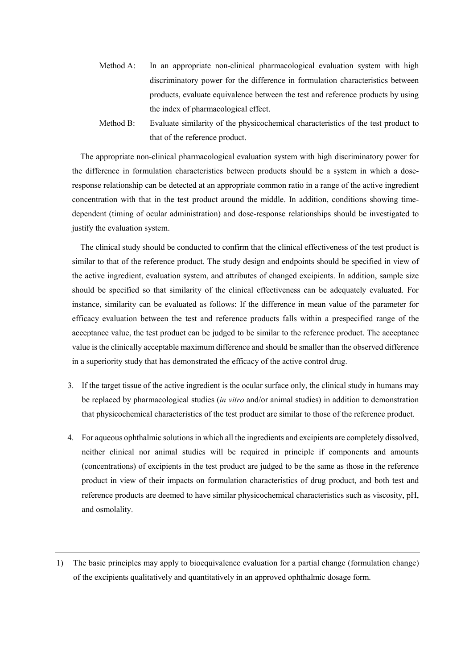- Method A: In an appropriate non-clinical pharmacological evaluation system with high discriminatory power for the difference in formulation characteristics between products, evaluate equivalence between the test and reference products by using the index of pharmacological effect.
- Method B: Evaluate similarity of the physicochemical characteristics of the test product to that of the reference product.

The appropriate non-clinical pharmacological evaluation system with high discriminatory power for the difference in formulation characteristics between products should be a system in which a doseresponse relationship can be detected at an appropriate common ratio in a range of the active ingredient concentration with that in the test product around the middle. In addition, conditions showing timedependent (timing of ocular administration) and dose-response relationships should be investigated to justify the evaluation system.

The clinical study should be conducted to confirm that the clinical effectiveness of the test product is similar to that of the reference product. The study design and endpoints should be specified in view of the active ingredient, evaluation system, and attributes of changed excipients. In addition, sample size should be specified so that similarity of the clinical effectiveness can be adequately evaluated. For instance, similarity can be evaluated as follows: If the difference in mean value of the parameter for efficacy evaluation between the test and reference products falls within a prespecified range of the acceptance value, the test product can be judged to be similar to the reference product. The acceptance value is the clinically acceptable maximum difference and should be smaller than the observed difference in a superiority study that has demonstrated the efficacy of the active control drug.

- 3. If the target tissue of the active ingredient is the ocular surface only, the clinical study in humans may be replaced by pharmacological studies *(in vitro and/or animal studies)* in addition to demonstration that physicochemical characteristics of the test product are similar to those of the reference product.
- 4. For aqueous ophthalmic solutions in which all the ingredients and excipients are completely dissolved, neither clinical nor animal studies will be required in principle if components and amounts (concentrations) of excipients in the test product are judged to be the same as those in the reference product in view of their impacts on formulation characteristics of drug product, and both test and reference products are deemed to have similar physicochemical characteristics such as viscosity, pH, and osmolality.
- 1) The basic principles may apply to bioequivalence evaluation for a partial change (formulation change) of the excipients qualitatively and quantitatively in an approved ophthalmic dosage form.